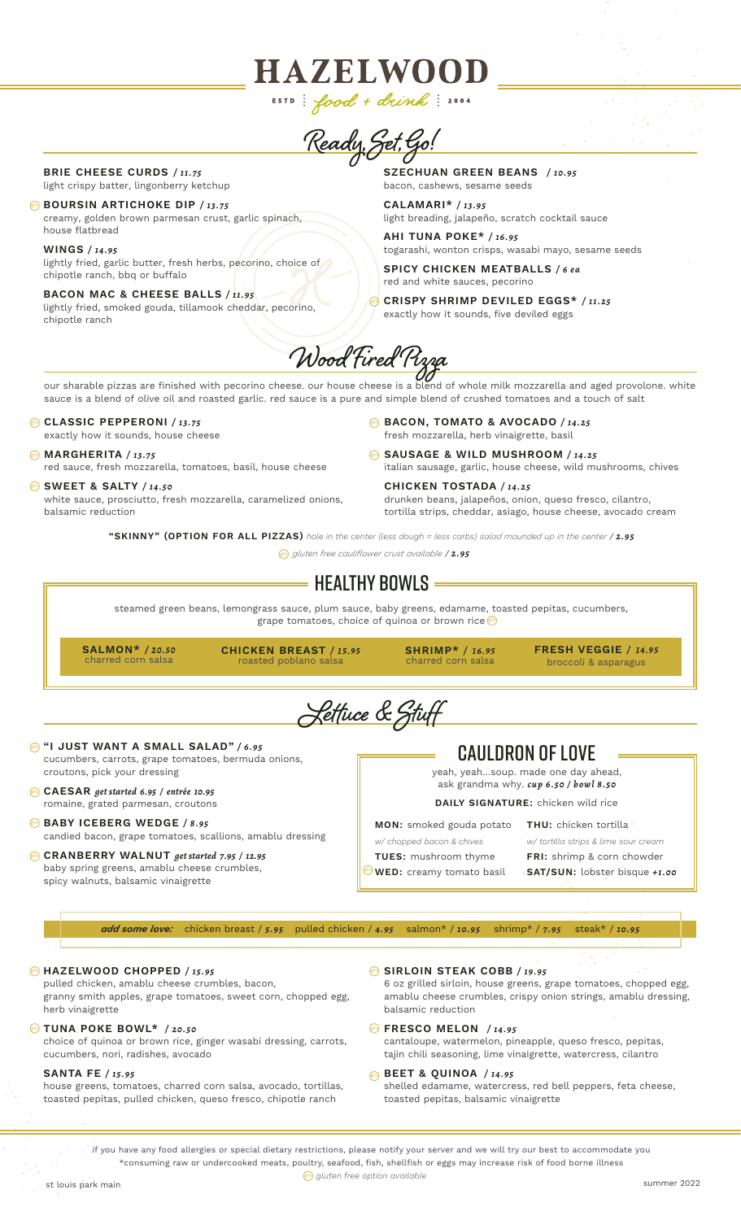**Ready, Set, Go! SZECHUAN GREEN BEANS** */ 10.95* bacon, cashews, sesame seeds

**HAZELWOOD** 

ESTD:  $food + devink$ : 2004

**BRIE CHEESE CURDS** */ 11.75* light crispy batter, lingonberry ketchup

**BOURSIN ARTICHOKE DIP / 13.75** creamy, golden brown parmesan crust, garlic spinach, house flatbread

**WINGS** */ 14.95* lightly fried, garlic butter, fresh herbs, pecorino, choice of chipotle ranch, bbq or buffalo

**BACON MAC & CHEESE BALLS** */ 11.95* lightly fried, smoked gouda, tillamook cheddar, pecorino, chipotle ranch

**CALAMARI\*** */ 13.95* light breading, jalapeño, scratch cocktail sauce

**AHI TUNA POKE\*** */ 16.95* togarashi, wonton crisps, wasabi mayo, sesame seeds

**SPICY CHICKEN MEATBALLS** */ 6 ea* red and white sauces, pecorino

**CRISPY SHRIMP DEVILED EGGS\*** */ 11.25* exactly how it sounds, five deviled eggs



our sharable pizzas are finished with pecorino cheese. our house cheese is a blend of whole milk mozzarella and aged provolone. white sauce is a blend of olive oil and roasted garlic. red sauce is a pure and simple blend of crushed tomatoes and a touch of salt

#### **CLASSIC PEPPERONI** */ 13.75*

exactly how it sounds, house cheese

#### **MARGHERITA** */ 13.75* gfo

red sauce, fresh mozzarella, tomatoes, basil, house cheese

#### **SWEET & SALTY** */ 14.50* gfo

white sauce, prosciutto, fresh mozzarella, caramelized onions, balsamic reduction

- **BACON, TOMATO & AVOCADO** */ 14.25* gfo fresh mozzarella, herb vinaigrette, basil
- **SAUSAGE & WILD MUSHROOM** */ 14.25* gfo italian sausage, garlic, house cheese, wild mushrooms, chives

**CHICKEN TOSTADA** */ 14.25* drunken beans, jalapeños, onion, queso fresco, cilantro, tortilla strips, cheddar, asiago, house cheese, avocado cream

**"SKINNY" (OPTION FOR ALL PIZZAS)** *hole in the center (less dough = less carbs) salad mounded up in the center* / *2.95*

*gluten free cauliflower crust available* / *2.95* gfo

## $\,$  = Healthy Bowls =

steamed green beans, lemongrass sauce, plum sauce, baby greens, edamame, toasted pepitas, cucumbers, grape tomatoes, choice of quinoa or brown rice **G** 

**SALMON\*** */ 20.50* charred corn salsa

**CHICKEN BREAST** */ 15.95* roasted poblano salsa

**SHRIMP\*** */ 16.95* charred corn salsa

**FRESH VEGGIE** */ 14.95* broccoli & asparagus

**Lettuce & Stuff**

- **"I JUST WANT A SMALL SALAD"** */ 6 . 9 5*  gfo cucumbers, carrots, grape tomatoes, bermuda onions, croutons, pick your dressing
- **CAESAR** *get started 6.95 / entrée 10.95* gfo romaine, grated parmesan, croutons

#### **BABY ICEBERG WEDGE / 8.95** candied bacon, grape tomatoes, scallions, amablu dressing

#### **CRANBERRY WALNUT** *get started 7.95 / 12.95* gfo baby spring greens, amablu cheese crumbles, spicy walnuts, balsamic vinaigrette

## CAULDRON OF LOVE

yeah, yeah…soup. made one day ahead, ask grandma why. *cup 6.50 / bowl 8.50*

**DAILY SIGNATURE:** chicken wild rice

- 
- *w/ chopped bacon & chives*

**TUES:** mushroom thyme

 $\frac{g(t)}{g(t)}$ **WED:** creamy tomato basil

*w/ tortilla strips & lime sour cream* **FRI:** shrimp & corn chowder **SAT/SUN:** lobster bisque *+1.00*

*add some love:* chicken breast / *5.95* pulled chicken / *4.95* salmon\* / *10.95* shrimp\* / *7.95* steak\* / *10.95*

#### **HAZELWOOD CHOPPED** */ 15.95* gfo

pulled chicken, amablu cheese crumbles, bacon, granny smith apples, grape tomatoes, sweet corn, chopped egg, herb vinaigrette

#### **TUNA POKE BOWL\*** */ 20.50* gfo

choice of quinoa or brown rice, ginger wasabi dressing, carrots, cucumbers, nori, radishes, avocado

#### **SANTA FE** */ 15.95*

house greens, tomatoes, charred corn salsa, avocado, tortillas, toasted pepitas, pulled chicken, queso fresco, chipotle ranch

**SIRLOIN STEAK COBB** */ 19.95* gfo

6 oz grilled sirloin, house greens, grape tomatoes, chopped egg, amablu cheese crumbles, crispy onion strings, amablu dressing, balsamic reduction

#### **Example 3 FRESCO MELON** / 14.95

cantaloupe, watermelon, pineapple, queso fresco, pepitas, tajin chili seasoning, lime vinaigrette, watercress, cilantro

#### **BEET & QUINOA** */ 14.95* gfo

shelled edamame, watercress, red bell peppers, feta cheese, toasted pepitas, balsamic vinaigrette

if you have any food allergies or special dietary restrictions, please notify your server and we will try our best to accommodate you \*consuming raw or undercooked meats, poultry, seafood, fish, shellfish or eggs may increase risk of food borne illness

**gfo)** gluten free option available

**MON:** smoked gouda potato **THU:** chicken tortilla